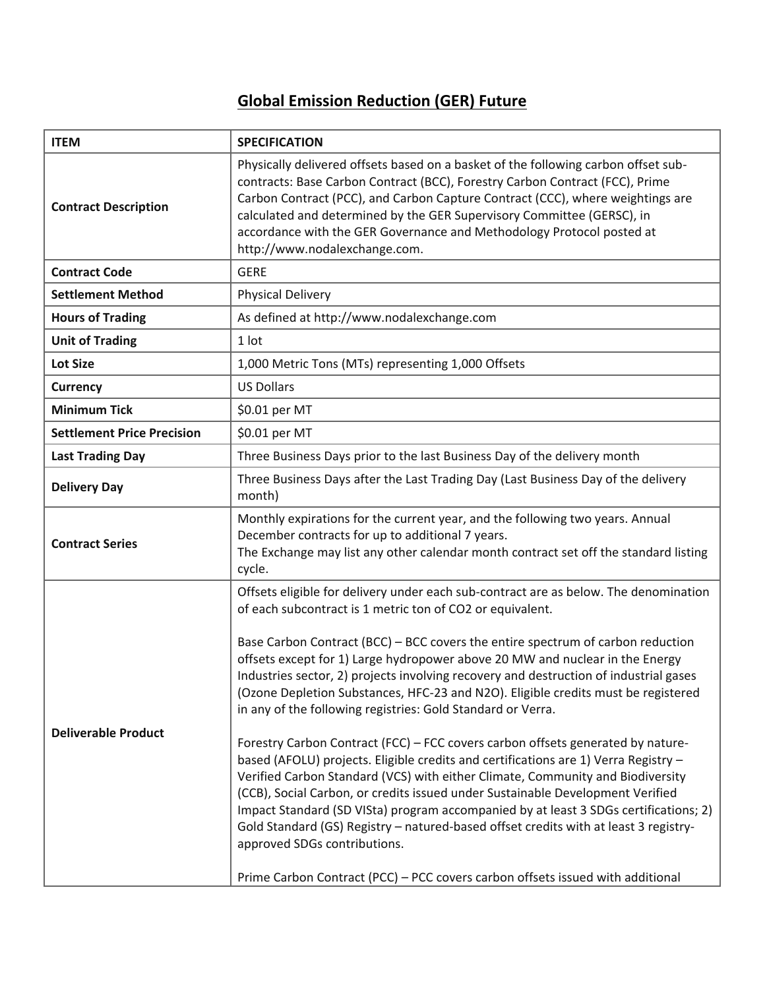## **Global Emission Reduction (GER) Future**

| <b>ITEM</b>                       | <b>SPECIFICATION</b>                                                                                                                                                                                                                                                                                                                                                                                                                                                                                                                                                                                                                                                                                                                                                                                                                                                                                                                                                                                                                                                                                                                                                                                              |
|-----------------------------------|-------------------------------------------------------------------------------------------------------------------------------------------------------------------------------------------------------------------------------------------------------------------------------------------------------------------------------------------------------------------------------------------------------------------------------------------------------------------------------------------------------------------------------------------------------------------------------------------------------------------------------------------------------------------------------------------------------------------------------------------------------------------------------------------------------------------------------------------------------------------------------------------------------------------------------------------------------------------------------------------------------------------------------------------------------------------------------------------------------------------------------------------------------------------------------------------------------------------|
| <b>Contract Description</b>       | Physically delivered offsets based on a basket of the following carbon offset sub-<br>contracts: Base Carbon Contract (BCC), Forestry Carbon Contract (FCC), Prime<br>Carbon Contract (PCC), and Carbon Capture Contract (CCC), where weightings are<br>calculated and determined by the GER Supervisory Committee (GERSC), in<br>accordance with the GER Governance and Methodology Protocol posted at<br>http://www.nodalexchange.com.                                                                                                                                                                                                                                                                                                                                                                                                                                                                                                                                                                                                                                                                                                                                                                          |
| <b>Contract Code</b>              | <b>GERE</b>                                                                                                                                                                                                                                                                                                                                                                                                                                                                                                                                                                                                                                                                                                                                                                                                                                                                                                                                                                                                                                                                                                                                                                                                       |
| <b>Settlement Method</b>          | <b>Physical Delivery</b>                                                                                                                                                                                                                                                                                                                                                                                                                                                                                                                                                                                                                                                                                                                                                                                                                                                                                                                                                                                                                                                                                                                                                                                          |
| <b>Hours of Trading</b>           | As defined at http://www.nodalexchange.com                                                                                                                                                                                                                                                                                                                                                                                                                                                                                                                                                                                                                                                                                                                                                                                                                                                                                                                                                                                                                                                                                                                                                                        |
| <b>Unit of Trading</b>            | 1 lot                                                                                                                                                                                                                                                                                                                                                                                                                                                                                                                                                                                                                                                                                                                                                                                                                                                                                                                                                                                                                                                                                                                                                                                                             |
| <b>Lot Size</b>                   | 1,000 Metric Tons (MTs) representing 1,000 Offsets                                                                                                                                                                                                                                                                                                                                                                                                                                                                                                                                                                                                                                                                                                                                                                                                                                                                                                                                                                                                                                                                                                                                                                |
| <b>Currency</b>                   | <b>US Dollars</b>                                                                                                                                                                                                                                                                                                                                                                                                                                                                                                                                                                                                                                                                                                                                                                                                                                                                                                                                                                                                                                                                                                                                                                                                 |
| <b>Minimum Tick</b>               | \$0.01 per MT                                                                                                                                                                                                                                                                                                                                                                                                                                                                                                                                                                                                                                                                                                                                                                                                                                                                                                                                                                                                                                                                                                                                                                                                     |
| <b>Settlement Price Precision</b> | \$0.01 per MT                                                                                                                                                                                                                                                                                                                                                                                                                                                                                                                                                                                                                                                                                                                                                                                                                                                                                                                                                                                                                                                                                                                                                                                                     |
| <b>Last Trading Day</b>           | Three Business Days prior to the last Business Day of the delivery month                                                                                                                                                                                                                                                                                                                                                                                                                                                                                                                                                                                                                                                                                                                                                                                                                                                                                                                                                                                                                                                                                                                                          |
| <b>Delivery Day</b>               | Three Business Days after the Last Trading Day (Last Business Day of the delivery<br>month)                                                                                                                                                                                                                                                                                                                                                                                                                                                                                                                                                                                                                                                                                                                                                                                                                                                                                                                                                                                                                                                                                                                       |
| <b>Contract Series</b>            | Monthly expirations for the current year, and the following two years. Annual<br>December contracts for up to additional 7 years.<br>The Exchange may list any other calendar month contract set off the standard listing<br>cycle.                                                                                                                                                                                                                                                                                                                                                                                                                                                                                                                                                                                                                                                                                                                                                                                                                                                                                                                                                                               |
| <b>Deliverable Product</b>        | Offsets eligible for delivery under each sub-contract are as below. The denomination<br>of each subcontract is 1 metric ton of CO2 or equivalent.<br>Base Carbon Contract (BCC) – BCC covers the entire spectrum of carbon reduction<br>offsets except for 1) Large hydropower above 20 MW and nuclear in the Energy<br>Industries sector, 2) projects involving recovery and destruction of industrial gases<br>(Ozone Depletion Substances, HFC-23 and N2O). Eligible credits must be registered<br>in any of the following registries: Gold Standard or Verra.<br>Forestry Carbon Contract (FCC) - FCC covers carbon offsets generated by nature-<br>based (AFOLU) projects. Eligible credits and certifications are 1) Verra Registry -<br>Verified Carbon Standard (VCS) with either Climate, Community and Biodiversity<br>(CCB), Social Carbon, or credits issued under Sustainable Development Verified<br>Impact Standard (SD VISta) program accompanied by at least 3 SDGs certifications; 2)<br>Gold Standard (GS) Registry - natured-based offset credits with at least 3 registry-<br>approved SDGs contributions.<br>Prime Carbon Contract (PCC) - PCC covers carbon offsets issued with additional |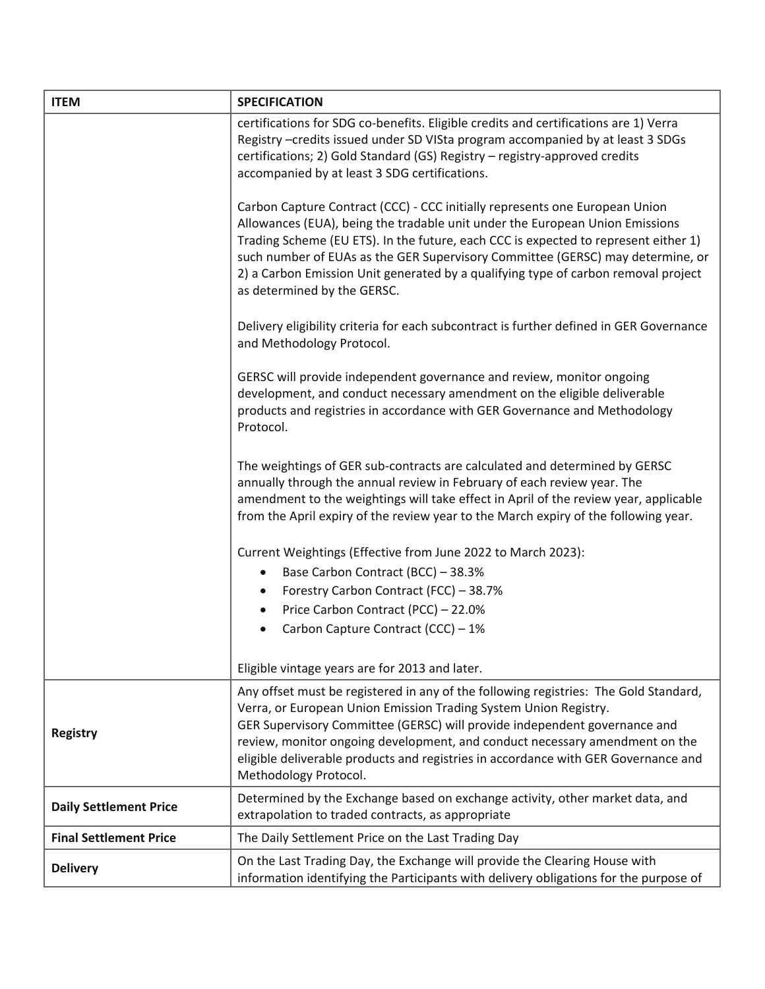| <b>ITEM</b>                   | <b>SPECIFICATION</b>                                                                                                                                                                                                                                                                                                                                                                                                                                      |
|-------------------------------|-----------------------------------------------------------------------------------------------------------------------------------------------------------------------------------------------------------------------------------------------------------------------------------------------------------------------------------------------------------------------------------------------------------------------------------------------------------|
|                               | certifications for SDG co-benefits. Eligible credits and certifications are 1) Verra<br>Registry -credits issued under SD VISta program accompanied by at least 3 SDGs<br>certifications; 2) Gold Standard (GS) Registry - registry-approved credits<br>accompanied by at least 3 SDG certifications.                                                                                                                                                     |
|                               | Carbon Capture Contract (CCC) - CCC initially represents one European Union<br>Allowances (EUA), being the tradable unit under the European Union Emissions<br>Trading Scheme (EU ETS). In the future, each CCC is expected to represent either 1)<br>such number of EUAs as the GER Supervisory Committee (GERSC) may determine, or<br>2) a Carbon Emission Unit generated by a qualifying type of carbon removal project<br>as determined by the GERSC. |
|                               | Delivery eligibility criteria for each subcontract is further defined in GER Governance<br>and Methodology Protocol.                                                                                                                                                                                                                                                                                                                                      |
|                               | GERSC will provide independent governance and review, monitor ongoing<br>development, and conduct necessary amendment on the eligible deliverable<br>products and registries in accordance with GER Governance and Methodology<br>Protocol.                                                                                                                                                                                                               |
|                               | The weightings of GER sub-contracts are calculated and determined by GERSC<br>annually through the annual review in February of each review year. The<br>amendment to the weightings will take effect in April of the review year, applicable<br>from the April expiry of the review year to the March expiry of the following year.                                                                                                                      |
|                               | Current Weightings (Effective from June 2022 to March 2023):                                                                                                                                                                                                                                                                                                                                                                                              |
|                               | Base Carbon Contract (BCC) - 38.3%                                                                                                                                                                                                                                                                                                                                                                                                                        |
|                               | Forestry Carbon Contract (FCC) - 38.7%                                                                                                                                                                                                                                                                                                                                                                                                                    |
|                               | Price Carbon Contract (PCC) - 22.0%                                                                                                                                                                                                                                                                                                                                                                                                                       |
|                               | Carbon Capture Contract (CCC) - 1%                                                                                                                                                                                                                                                                                                                                                                                                                        |
|                               |                                                                                                                                                                                                                                                                                                                                                                                                                                                           |
|                               | Eligible vintage years are for 2013 and later.                                                                                                                                                                                                                                                                                                                                                                                                            |
| <b>Registry</b>               | Any offset must be registered in any of the following registries: The Gold Standard,<br>Verra, or European Union Emission Trading System Union Registry.<br>GER Supervisory Committee (GERSC) will provide independent governance and<br>review, monitor ongoing development, and conduct necessary amendment on the<br>eligible deliverable products and registries in accordance with GER Governance and<br>Methodology Protocol.                       |
| <b>Daily Settlement Price</b> | Determined by the Exchange based on exchange activity, other market data, and<br>extrapolation to traded contracts, as appropriate                                                                                                                                                                                                                                                                                                                        |
| <b>Final Settlement Price</b> | The Daily Settlement Price on the Last Trading Day                                                                                                                                                                                                                                                                                                                                                                                                        |
| <b>Delivery</b>               | On the Last Trading Day, the Exchange will provide the Clearing House with<br>information identifying the Participants with delivery obligations for the purpose of                                                                                                                                                                                                                                                                                       |